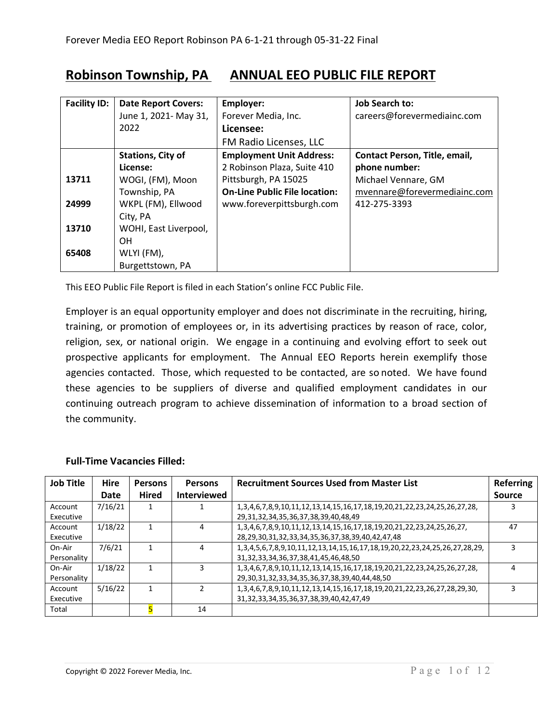## **Robinson Township, PA ANNUAL EEO PUBLIC FILE REPORT**

| <b>Facility ID:</b> | <b>Date Report Covers:</b> | Employer:                            | <b>Job Search to:</b>         |
|---------------------|----------------------------|--------------------------------------|-------------------------------|
|                     | June 1, 2021- May 31,      | Forever Media, Inc.                  | careers@forevermediainc.com   |
|                     | 2022                       | Licensee:                            |                               |
|                     |                            | FM Radio Licenses, LLC               |                               |
|                     | <b>Stations, City of</b>   | <b>Employment Unit Address:</b>      | Contact Person, Title, email, |
|                     | License:                   | 2 Robinson Plaza, Suite 410          | phone number:                 |
| 13711               | WOGI, (FM), Moon           | Pittsburgh, PA 15025                 | Michael Vennare, GM           |
|                     | Township, PA               | <b>On-Line Public File location:</b> | mvennare@forevermediainc.com  |
| 24999               | WKPL (FM), Ellwood         | www.foreverpittsburgh.com            | 412-275-3393                  |
|                     | City, PA                   |                                      |                               |
| 13710               | WOHI, East Liverpool,      |                                      |                               |
|                     | <b>OH</b>                  |                                      |                               |
| 65408               | WLYI (FM),                 |                                      |                               |
|                     | Burgettstown, PA           |                                      |                               |

This EEO Public File Report is filed in each Station's online FCC Public File.

Employer is an equal opportunity employer and does not discriminate in the recruiting, hiring, training, or promotion of employees or, in its advertising practices by reason of race, color, religion, sex, or national origin. We engage in a continuing and evolving effort to seek out prospective applicants for employment. The Annual EEO Reports herein exemplify those agencies contacted. Those, which requested to be contacted, are so noted. We have found these agencies to be suppliers of diverse and qualified employment candidates in our continuing outreach program to achieve dissemination of information to a broad section of the community.

| <b>Job Title</b> | <b>Hire</b> | <b>Persons</b> | <b>Persons</b>     | <b>Recruitment Sources Used from Master List</b>                                                    | <b>Referring</b> |
|------------------|-------------|----------------|--------------------|-----------------------------------------------------------------------------------------------------|------------------|
|                  | Date        | <b>Hired</b>   | <b>Interviewed</b> |                                                                                                     | <b>Source</b>    |
| Account          | 7/16/21     |                |                    | 1, 3, 4, 6, 7, 8, 9, 10, 11, 12, 13, 14, 15, 16, 17, 18, 19, 20, 21, 22, 23, 24, 25, 26, 27, 28,    |                  |
| Executive        |             |                |                    | 29, 31, 32, 34, 35, 36, 37, 38, 39, 40, 48, 49                                                      |                  |
| Account          | 1/18/22     |                | 4                  | 1,3,4,6,7,8,9,10,11,12,13,14,15,16,17,18,19,20,21,22,23,24,25,26,27,                                | 47               |
| Executive        |             |                |                    | 28,29,30,31,32,33,34,35,36,37,38,39,40,42,47,48                                                     |                  |
| On-Air           | 7/6/21      |                | 4                  | 1, 3, 4, 5, 6, 7, 8, 9, 10, 11, 12, 13, 14, 15, 16, 17, 18, 19, 20, 22, 23, 24, 25, 26, 27, 28, 29, |                  |
| Personality      |             |                |                    | 31, 32, 33, 34, 36, 37, 38, 41, 45, 46, 48, 50                                                      |                  |
| On-Air           | 1/18/22     |                | 3                  | 1,3,4,6,7,8,9,10,11,12,13,14,15,16,17,18,19,20,21,22,23,24,25,26,27,28,                             |                  |
| Personality      |             |                |                    | 29, 30, 31, 32, 33, 34, 35, 36, 37, 38, 39, 40, 44, 48, 50                                          |                  |
| Account          | 5/16/22     |                | $\mathcal{P}$      | 1,3,4,6,7,8,9,10,11,12,13,14,15,16,17,18,19,20,21,22,23,26,27,28,29,30,                             |                  |
| Executive        |             |                |                    | 31, 32, 33, 34, 35, 36, 37, 38, 39, 40, 42, 47, 49                                                  |                  |
| Total            |             |                | 14                 |                                                                                                     |                  |

## **Full-Time Vacancies Filled:**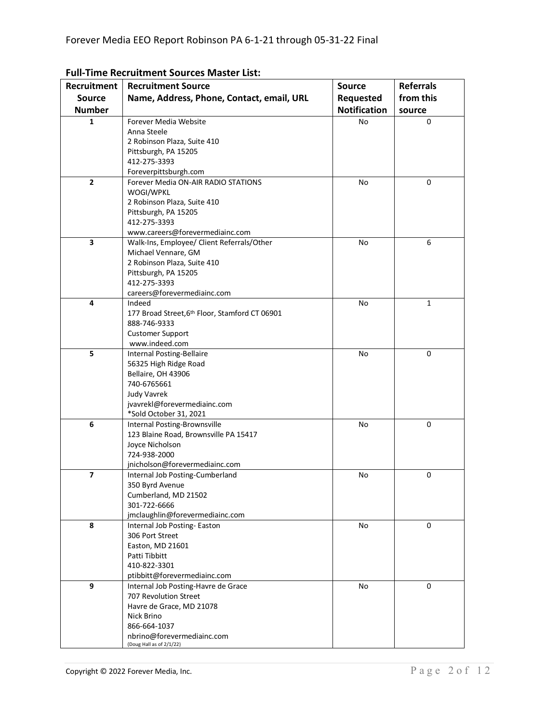| Recruitment   | <b>Recruitment Source</b>                                    | <b>Source</b>       | <b>Referrals</b> |
|---------------|--------------------------------------------------------------|---------------------|------------------|
| <b>Source</b> | Name, Address, Phone, Contact, email, URL                    | Requested           | from this        |
| <b>Number</b> |                                                              | <b>Notification</b> |                  |
|               |                                                              |                     | source           |
| 1             | Forever Media Website                                        | No                  | 0                |
|               | Anna Steele                                                  |                     |                  |
|               | 2 Robinson Plaza, Suite 410                                  |                     |                  |
|               | Pittsburgh, PA 15205                                         |                     |                  |
|               | 412-275-3393                                                 |                     |                  |
| $\mathbf{2}$  | Foreverpittsburgh.com<br>Forever Media ON-AIR RADIO STATIONS |                     |                  |
|               | WOGI/WPKL                                                    | No                  | 0                |
|               | 2 Robinson Plaza, Suite 410                                  |                     |                  |
|               | Pittsburgh, PA 15205                                         |                     |                  |
|               | 412-275-3393                                                 |                     |                  |
|               | www.careers@forevermediainc.com                              |                     |                  |
| 3             | Walk-Ins, Employee/ Client Referrals/Other                   | No                  | 6                |
|               | Michael Vennare, GM                                          |                     |                  |
|               | 2 Robinson Plaza, Suite 410                                  |                     |                  |
|               | Pittsburgh, PA 15205                                         |                     |                  |
|               | 412-275-3393                                                 |                     |                  |
|               | careers@forevermediainc.com                                  |                     |                  |
| 4             | Indeed                                                       | No                  | 1                |
|               | 177 Broad Street, 6th Floor, Stamford CT 06901               |                     |                  |
|               | 888-746-9333                                                 |                     |                  |
|               | <b>Customer Support</b>                                      |                     |                  |
|               | www.indeed.com                                               |                     |                  |
| 5             | Internal Posting-Bellaire                                    | No                  | 0                |
|               | 56325 High Ridge Road                                        |                     |                  |
|               | Bellaire, OH 43906                                           |                     |                  |
|               | 740-6765661                                                  |                     |                  |
|               | <b>Judy Vavrek</b>                                           |                     |                  |
|               | jvavrekl@forevermediainc.com                                 |                     |                  |
|               | *Sold October 31, 2021                                       |                     |                  |
| 6             | Internal Posting-Brownsville                                 | No                  | 0                |
|               | 123 Blaine Road, Brownsville PA 15417                        |                     |                  |
|               | Joyce Nicholson<br>724-938-2000                              |                     |                  |
|               | jnicholson@forevermediainc.com                               |                     |                  |
| 7             | Internal Job Posting-Cumberland                              | No                  | 0                |
|               | 350 Byrd Avenue                                              |                     |                  |
|               | Cumberland, MD 21502                                         |                     |                  |
|               | 301-722-6666                                                 |                     |                  |
|               | jmclaughlin@forevermediainc.com                              |                     |                  |
| 8             | Internal Job Posting-Easton                                  | No                  | 0                |
|               | 306 Port Street                                              |                     |                  |
|               | Easton, MD 21601                                             |                     |                  |
|               | Patti Tibbitt                                                |                     |                  |
|               | 410-822-3301                                                 |                     |                  |
|               | ptibbitt@forevermediainc.com                                 |                     |                  |
| 9             | Internal Job Posting-Havre de Grace                          | No                  | 0                |
|               | 707 Revolution Street                                        |                     |                  |
|               | Havre de Grace, MD 21078                                     |                     |                  |
|               | Nick Brino                                                   |                     |                  |
|               | 866-664-1037                                                 |                     |                  |
|               | nbrino@forevermediainc.com                                   |                     |                  |
|               | (Doug Hall as of 2/1/22)                                     |                     |                  |

## **Full-Time Recruitment Sources Master List:**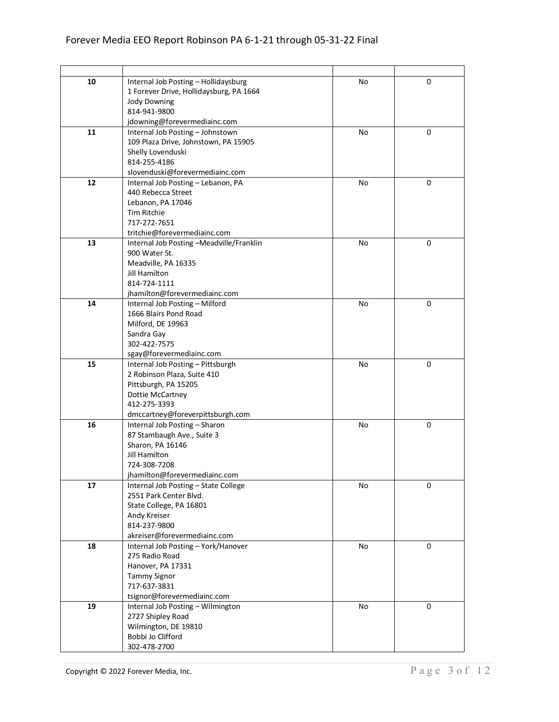| 10 | Internal Job Posting - Hollidaysburg                | No | 0 |
|----|-----------------------------------------------------|----|---|
|    | 1 Forever Drive, Hollidaysburg, PA 1664             |    |   |
|    | <b>Jody Downing</b>                                 |    |   |
|    | 814-941-9800                                        |    |   |
|    | jdowning@forevermediainc.com                        |    |   |
| 11 | Internal Job Posting - Johnstown                    | No | 0 |
|    | 109 Plaza Drive, Johnstown, PA 15905                |    |   |
|    | Shelly Lovenduski<br>814-255-4186                   |    |   |
|    | slovenduski@forevermediainc.com                     |    |   |
| 12 | Internal Job Posting - Lebanon, PA                  | No | 0 |
|    | 440 Rebecca Street                                  |    |   |
|    | Lebanon, PA 17046                                   |    |   |
|    | <b>Tim Ritchie</b>                                  |    |   |
|    | 717-272-7651                                        |    |   |
|    | tritchie@forevermediainc.com                        |    |   |
| 13 | Internal Job Posting -Meadville/Franklin            | No | 0 |
|    | 900 Water St.                                       |    |   |
|    | Meadville, PA 16335                                 |    |   |
|    | <b>Jill Hamilton</b>                                |    |   |
|    | 814-724-1111                                        |    |   |
|    | jhamilton@forevermediainc.com                       |    |   |
| 14 | Internal Job Posting - Milford                      | No | 0 |
|    | 1666 Blairs Pond Road                               |    |   |
|    | Milford, DE 19963                                   |    |   |
|    | Sandra Gay                                          |    |   |
|    | 302-422-7575                                        |    |   |
|    | sgay@forevermediainc.com                            |    |   |
| 15 | Internal Job Posting - Pittsburgh                   | No | 0 |
|    | 2 Robinson Plaza, Suite 410<br>Pittsburgh, PA 15205 |    |   |
|    | Dottie McCartney                                    |    |   |
|    | 412-275-3393                                        |    |   |
|    | dmccartney@foreverpittsburgh.com                    |    |   |
| 16 | Internal Job Posting - Sharon                       | No | 0 |
|    | 87 Stambaugh Ave., Suite 3                          |    |   |
|    | Sharon, PA 16146                                    |    |   |
|    | Jill Hamilton                                       |    |   |
|    | 724-308-7208                                        |    |   |
|    | jhamilton@forevermediainc.com                       |    |   |
| 17 | Internal Job Posting - State College                | No | 0 |
|    | 2551 Park Center Blvd.                              |    |   |
|    | State College, PA 16801                             |    |   |
|    | Andy Kreiser                                        |    |   |
|    | 814-237-9800<br>akreiser@forevermediainc.com        |    |   |
|    | Internal Job Posting - York/Hanover                 |    |   |
| 18 | 275 Radio Road                                      | No | 0 |
|    | Hanover, PA 17331                                   |    |   |
|    | <b>Tammy Signor</b>                                 |    |   |
|    | 717-637-3831                                        |    |   |
|    | tsignor@forevermediainc.com                         |    |   |
| 19 | Internal Job Posting - Wilmington                   | No | 0 |
|    | 2727 Shipley Road                                   |    |   |
|    | Wilmington, DE 19810                                |    |   |
|    | Bobbi Jo Clifford                                   |    |   |
|    | 302-478-2700                                        |    |   |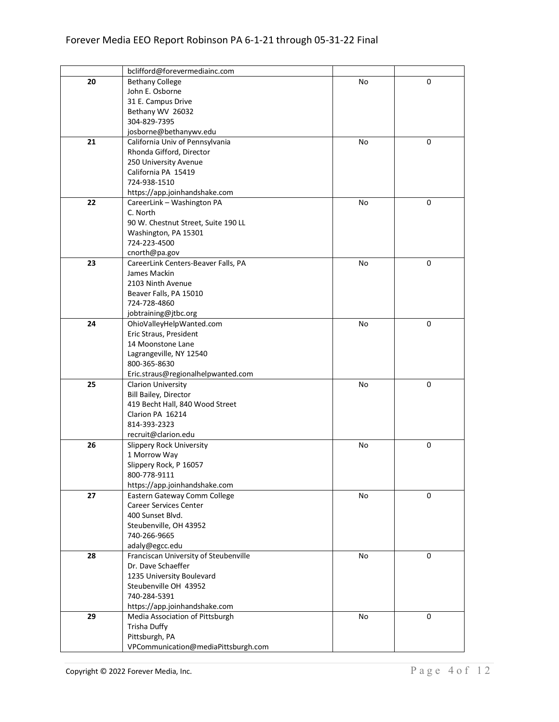|    | bclifford@forevermediainc.com                        |    |   |
|----|------------------------------------------------------|----|---|
| 20 | <b>Bethany College</b>                               | No | 0 |
|    | John E. Osborne                                      |    |   |
|    | 31 E. Campus Drive                                   |    |   |
|    | Bethany WV 26032                                     |    |   |
|    | 304-829-7395                                         |    |   |
|    | josborne@bethanywv.edu                               |    |   |
| 21 | California Univ of Pennsylvania                      | No | 0 |
|    | Rhonda Gifford, Director                             |    |   |
|    | 250 University Avenue                                |    |   |
|    | California PA 15419                                  |    |   |
|    | 724-938-1510                                         |    |   |
|    | https://app.joinhandshake.com                        |    |   |
| 22 | CareerLink - Washington PA                           | No | 0 |
|    | C. North                                             |    |   |
|    | 90 W. Chestnut Street, Suite 190 LL                  |    |   |
|    | Washington, PA 15301                                 |    |   |
|    | 724-223-4500                                         |    |   |
|    |                                                      |    |   |
| 23 | cnorth@pa.gov<br>CareerLink Centers-Beaver Falls, PA | No | 0 |
|    | James Mackin                                         |    |   |
|    | 2103 Ninth Avenue                                    |    |   |
|    | Beaver Falls, PA 15010                               |    |   |
|    | 724-728-4860                                         |    |   |
|    |                                                      |    |   |
|    | jobtraining@jtbc.org                                 |    |   |
| 24 | OhioValleyHelpWanted.com                             | No | 0 |
|    | Eric Straus, President                               |    |   |
|    | 14 Moonstone Lane                                    |    |   |
|    | Lagrangeville, NY 12540                              |    |   |
|    | 800-365-8630                                         |    |   |
|    | Eric.straus@regionalhelpwanted.com                   |    |   |
| 25 | <b>Clarion University</b>                            | No | 0 |
|    | Bill Bailey, Director                                |    |   |
|    | 419 Becht Hall, 840 Wood Street                      |    |   |
|    | Clarion PA 16214                                     |    |   |
|    | 814-393-2323                                         |    |   |
|    | recruit@clarion.edu                                  |    |   |
| 26 | Slippery Rock University                             | No | 0 |
|    | 1 Morrow Way                                         |    |   |
|    | Slippery Rock, P 16057                               |    |   |
|    | 800-778-9111                                         |    |   |
|    | https://app.joinhandshake.com                        |    |   |
| 27 | Eastern Gateway Comm College                         | No | 0 |
|    | <b>Career Services Center</b>                        |    |   |
|    | 400 Sunset Blvd.                                     |    |   |
|    | Steubenville, OH 43952                               |    |   |
|    | 740-266-9665                                         |    |   |
|    | adaly@egcc.edu                                       |    |   |
| 28 | Franciscan University of Steubenville                | No | 0 |
|    | Dr. Dave Schaeffer                                   |    |   |
|    | 1235 University Boulevard                            |    |   |
|    | Steubenville OH 43952                                |    |   |
|    | 740-284-5391                                         |    |   |
|    | https://app.joinhandshake.com                        |    |   |
| 29 | Media Association of Pittsburgh                      | No | 0 |
|    | Trisha Duffy                                         |    |   |
|    | Pittsburgh, PA                                       |    |   |
|    | VPCommunication@mediaPittsburgh.com                  |    |   |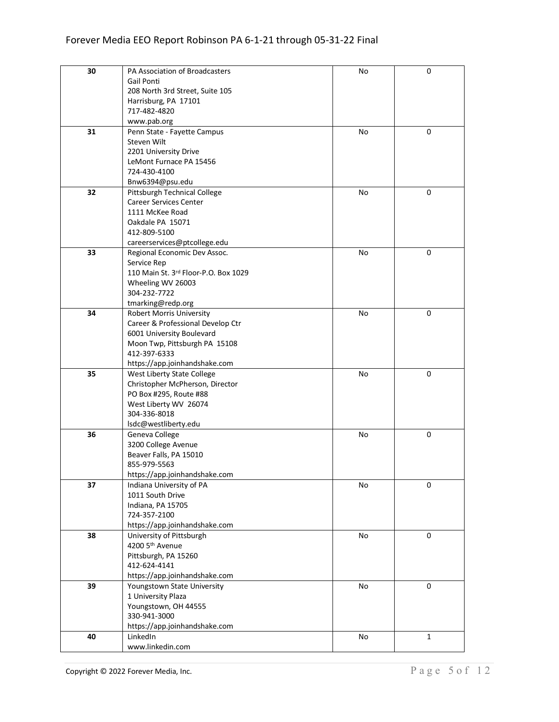| 30 | PA Association of Broadcasters         | No | 0           |
|----|----------------------------------------|----|-------------|
|    | Gail Ponti                             |    |             |
|    | 208 North 3rd Street, Suite 105        |    |             |
|    | Harrisburg, PA 17101                   |    |             |
|    | 717-482-4820                           |    |             |
|    | www.pab.org                            |    |             |
| 31 | Penn State - Fayette Campus            | No | 0           |
|    | Steven Wilt                            |    |             |
|    | 2201 University Drive                  |    |             |
|    | LeMont Furnace PA 15456                |    |             |
|    | 724-430-4100                           |    |             |
|    | Bnw6394@psu.edu                        |    |             |
| 32 | Pittsburgh Technical College           | No | 0           |
|    | <b>Career Services Center</b>          |    |             |
|    | 1111 McKee Road                        |    |             |
|    | Oakdale PA 15071                       |    |             |
|    | 412-809-5100                           |    |             |
|    | careerservices@ptcollege.edu           |    |             |
| 33 | Regional Economic Dev Assoc.           | No | 0           |
|    | Service Rep                            |    |             |
|    | 110 Main St. 3rd Floor-P.O. Box 1029   |    |             |
|    | Wheeling WV 26003                      |    |             |
|    | 304-232-7722                           |    |             |
|    | tmarking@redp.org                      |    |             |
| 34 | <b>Robert Morris University</b>        | No | 0           |
|    | Career & Professional Develop Ctr      |    |             |
|    | 6001 University Boulevard              |    |             |
|    | Moon Twp, Pittsburgh PA 15108          |    |             |
|    | 412-397-6333                           |    |             |
|    | https://app.joinhandshake.com          |    |             |
| 35 | West Liberty State College             | No | 0           |
|    | Christopher McPherson, Director        |    |             |
|    | PO Box #295, Route #88                 |    |             |
|    | West Liberty WV 26074                  |    |             |
|    | 304-336-8018                           |    |             |
|    | Isdc@westliberty.edu                   |    |             |
| 36 | Geneva College                         | No | 0           |
|    | 3200 College Avenue                    |    |             |
|    | Beaver Falls, PA 15010<br>855-979-5563 |    |             |
|    | https://app.joinhandshake.com          |    |             |
| 37 | Indiana University of PA               | No | 0           |
|    | 1011 South Drive                       |    |             |
|    | Indiana, PA 15705                      |    |             |
|    | 724-357-2100                           |    |             |
|    | https://app.joinhandshake.com          |    |             |
| 38 | University of Pittsburgh               | No | $\mathbf 0$ |
|    | 4200 5th Avenue                        |    |             |
|    | Pittsburgh, PA 15260                   |    |             |
|    | 412-624-4141                           |    |             |
|    | https://app.joinhandshake.com          |    |             |
| 39 | Youngstown State University            | No | $\mathbf 0$ |
|    | 1 University Plaza                     |    |             |
|    | Youngstown, OH 44555                   |    |             |
|    | 330-941-3000                           |    |             |
|    | https://app.joinhandshake.com          |    |             |
| 40 | LinkedIn                               | No | 1           |
|    | www.linkedin.com                       |    |             |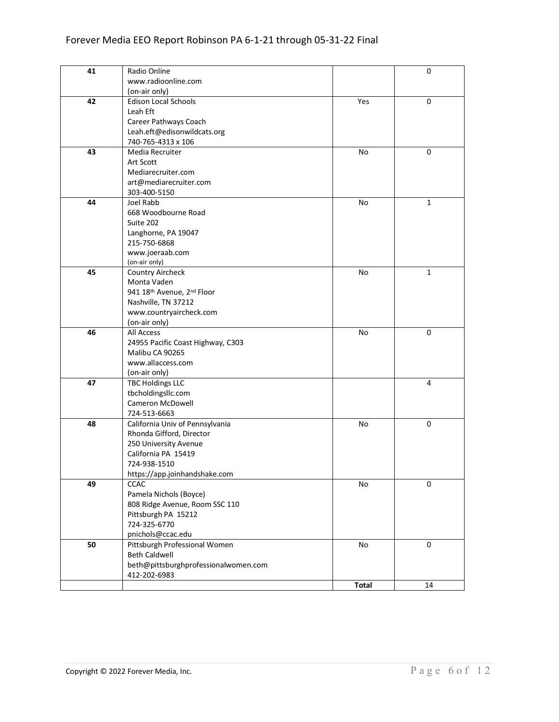| 41 | Radio Online                         |              | 0            |
|----|--------------------------------------|--------------|--------------|
|    | www.radioonline.com                  |              |              |
|    | (on-air only)                        |              |              |
| 42 | <b>Edison Local Schools</b>          | Yes          | 0            |
|    | Leah Eft                             |              |              |
|    | Career Pathways Coach                |              |              |
|    | Leah.eft@edisonwildcats.org          |              |              |
|    | 740-765-4313 x 106                   |              |              |
| 43 | Media Recruiter                      | No           | 0            |
|    | Art Scott                            |              |              |
|    | Mediarecruiter.com                   |              |              |
|    | art@mediarecruiter.com               |              |              |
|    | 303-400-5150                         |              |              |
| 44 | Joel Rabb                            | No           | 1            |
|    | 668 Woodbourne Road                  |              |              |
|    | Suite 202                            |              |              |
|    | Langhorne, PA 19047                  |              |              |
|    | 215-750-6868                         |              |              |
|    | www.joeraab.com                      |              |              |
|    | (on-air only)                        |              |              |
| 45 | <b>Country Aircheck</b>              | No           | $\mathbf{1}$ |
|    | Monta Vaden                          |              |              |
|    | 941 18th Avenue, 2nd Floor           |              |              |
|    | Nashville, TN 37212                  |              |              |
|    | www.countryaircheck.com              |              |              |
|    | (on-air only)                        |              |              |
| 46 | All Access                           | No           | 0            |
|    | 24955 Pacific Coast Highway, C303    |              |              |
|    | Malibu CA 90265                      |              |              |
|    | www.allaccess.com                    |              |              |
|    | (on-air only)                        |              |              |
| 47 | <b>TBC Holdings LLC</b>              |              | 4            |
|    | tbcholdingsllc.com                   |              |              |
|    | Cameron McDowell                     |              |              |
|    | 724-513-6663                         |              |              |
| 48 | California Univ of Pennsylvania      | No           | 0            |
|    | Rhonda Gifford, Director             |              |              |
|    | 250 University Avenue                |              |              |
|    | California PA 15419                  |              |              |
|    | 724-938-1510                         |              |              |
|    | https://app.joinhandshake.com        |              |              |
| 49 | <b>CCAC</b>                          | No           | 0            |
|    | Pamela Nichols (Boyce)               |              |              |
|    | 808 Ridge Avenue, Room SSC 110       |              |              |
|    | Pittsburgh PA 15212                  |              |              |
|    | 724-325-6770                         |              |              |
|    | pnichols@ccac.edu                    |              |              |
| 50 | Pittsburgh Professional Women        | No           | $\mathbf 0$  |
|    | <b>Beth Caldwell</b>                 |              |              |
|    | beth@pittsburghprofessionalwomen.com |              |              |
|    | 412-202-6983                         |              |              |
|    |                                      | <b>Total</b> | 14           |
|    |                                      |              |              |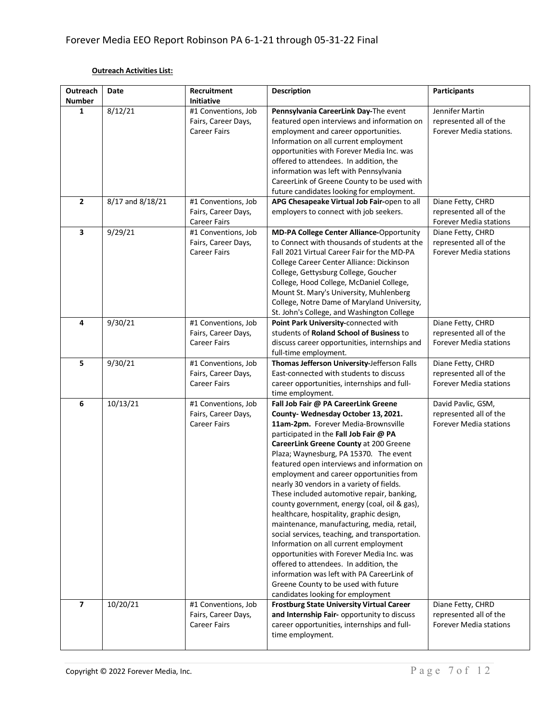## **Outreach Activities List:**

| Outreach                | Date                 | Recruitment                                                                    | <b>Description</b>                                                                                                                                                                                                                                                                                                                                                                                                                                                                                                                                                                                                                                                                                                                                                                                                                                                                           | <b>Participants</b>                                                           |
|-------------------------|----------------------|--------------------------------------------------------------------------------|----------------------------------------------------------------------------------------------------------------------------------------------------------------------------------------------------------------------------------------------------------------------------------------------------------------------------------------------------------------------------------------------------------------------------------------------------------------------------------------------------------------------------------------------------------------------------------------------------------------------------------------------------------------------------------------------------------------------------------------------------------------------------------------------------------------------------------------------------------------------------------------------|-------------------------------------------------------------------------------|
| <b>Number</b>           |                      | <b>Initiative</b>                                                              |                                                                                                                                                                                                                                                                                                                                                                                                                                                                                                                                                                                                                                                                                                                                                                                                                                                                                              |                                                                               |
| 1                       | 8/12/21              | #1 Conventions, Job<br>Fairs, Career Days,                                     | Pennsylvania CareerLink Day-The event<br>featured open interviews and information on                                                                                                                                                                                                                                                                                                                                                                                                                                                                                                                                                                                                                                                                                                                                                                                                         | Jennifer Martin<br>represented all of the<br>Forever Media stations.          |
|                         |                      | <b>Career Fairs</b>                                                            | employment and career opportunities.<br>Information on all current employment<br>opportunities with Forever Media Inc. was                                                                                                                                                                                                                                                                                                                                                                                                                                                                                                                                                                                                                                                                                                                                                                   |                                                                               |
|                         |                      |                                                                                | offered to attendees. In addition, the<br>information was left with Pennsylvania<br>CareerLink of Greene County to be used with                                                                                                                                                                                                                                                                                                                                                                                                                                                                                                                                                                                                                                                                                                                                                              |                                                                               |
|                         |                      |                                                                                | future candidates looking for employment.                                                                                                                                                                                                                                                                                                                                                                                                                                                                                                                                                                                                                                                                                                                                                                                                                                                    |                                                                               |
| $\overline{2}$          | $8/17$ and $8/18/21$ | #1 Conventions, Job<br>Fairs, Career Days,<br><b>Career Fairs</b>              | APG Chesapeake Virtual Job Fair-open to all<br>employers to connect with job seekers.                                                                                                                                                                                                                                                                                                                                                                                                                                                                                                                                                                                                                                                                                                                                                                                                        | Diane Fetty, CHRD<br>represented all of the<br>Forever Media stations         |
| 3                       | 9/29/21              | #1 Conventions, Job<br>Fairs, Career Days,<br><b>Career Fairs</b>              | MD-PA College Center Alliance-Opportunity<br>to Connect with thousands of students at the<br>Fall 2021 Virtual Career Fair for the MD-PA<br>College Career Center Alliance: Dickinson<br>College, Gettysburg College, Goucher<br>College, Hood College, McDaniel College,<br>Mount St. Mary's University, Muhlenberg<br>College, Notre Dame of Maryland University,<br>St. John's College, and Washington College                                                                                                                                                                                                                                                                                                                                                                                                                                                                            | Diane Fetty, CHRD<br>represented all of the<br><b>Forever Media stations</b>  |
| 4                       | 9/30/21              | $\overline{41}$ Conventions, Job<br>Fairs, Career Days,<br><b>Career Fairs</b> | Point Park University-connected with<br>students of Roland School of Business to<br>discuss career opportunities, internships and<br>full-time employment.                                                                                                                                                                                                                                                                                                                                                                                                                                                                                                                                                                                                                                                                                                                                   | Diane Fetty, CHRD<br>represented all of the<br><b>Forever Media stations</b>  |
| 5                       | 9/30/21              | #1 Conventions, Job<br>Fairs, Career Days,<br><b>Career Fairs</b>              | Thomas Jefferson University-Jefferson Falls<br>East-connected with students to discuss<br>career opportunities, internships and full-<br>time employment.                                                                                                                                                                                                                                                                                                                                                                                                                                                                                                                                                                                                                                                                                                                                    | Diane Fetty, CHRD<br>represented all of the<br><b>Forever Media stations</b>  |
| 6                       | 10/13/21             | #1 Conventions, Job<br>Fairs, Career Days,<br><b>Career Fairs</b>              | Fall Job Fair @ PA CareerLink Greene<br>County-Wednesday October 13, 2021.<br>11am-2pm. Forever Media-Brownsville<br>participated in the Fall Job Fair @ PA<br>CareerLink Greene County at 200 Greene<br>Plaza; Waynesburg, PA 15370. The event<br>featured open interviews and information on<br>employment and career opportunities from<br>nearly 30 vendors in a variety of fields.<br>These included automotive repair, banking,<br>county government, energy (coal, oil & gas),<br>healthcare, hospitality, graphic design,<br>maintenance, manufacturing, media, retail,<br>social services, teaching, and transportation.<br>Information on all current employment<br>opportunities with Forever Media Inc. was<br>offered to attendees. In addition, the<br>information was left with PA CareerLink of<br>Greene County to be used with future<br>candidates looking for employment | David Pavlic, GSM,<br>represented all of the<br><b>Forever Media stations</b> |
| $\overline{\mathbf{z}}$ | 10/20/21             | #1 Conventions, Job<br>Fairs, Career Days,<br><b>Career Fairs</b>              | <b>Frostburg State University Virtual Career</b><br>and Internship Fair- opportunity to discuss<br>career opportunities, internships and full-<br>time employment.                                                                                                                                                                                                                                                                                                                                                                                                                                                                                                                                                                                                                                                                                                                           | Diane Fetty, CHRD<br>represented all of the<br><b>Forever Media stations</b>  |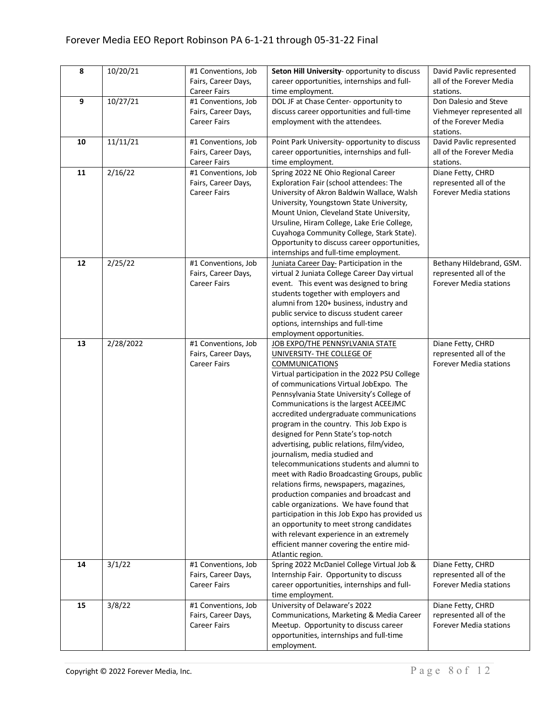| 8  | 10/20/21  | #1 Conventions, Job | Seton Hill University- opportunity to discuss  | David Pavlic represented      |
|----|-----------|---------------------|------------------------------------------------|-------------------------------|
|    |           | Fairs, Career Days, | career opportunities, internships and full-    | all of the Forever Media      |
|    |           | <b>Career Fairs</b> | time employment.                               | stations.                     |
| 9  | 10/27/21  | #1 Conventions, Job | DOL JF at Chase Center- opportunity to         | Don Dalesio and Steve         |
|    |           | Fairs, Career Days, | discuss career opportunities and full-time     | Viehmeyer represented all     |
|    |           | <b>Career Fairs</b> | employment with the attendees.                 | of the Forever Media          |
|    |           |                     |                                                |                               |
|    |           |                     |                                                | stations.                     |
| 10 | 11/11/21  | #1 Conventions, Job | Point Park University- opportunity to discuss  | David Pavlic represented      |
|    |           | Fairs, Career Days, | career opportunities, internships and full-    | all of the Forever Media      |
|    |           | <b>Career Fairs</b> | time employment.                               | stations.                     |
| 11 | 2/16/22   | #1 Conventions, Job | Spring 2022 NE Ohio Regional Career            | Diane Fetty, CHRD             |
|    |           | Fairs, Career Days, | Exploration Fair (school attendees: The        | represented all of the        |
|    |           | <b>Career Fairs</b> | University of Akron Baldwin Wallace, Walsh     | <b>Forever Media stations</b> |
|    |           |                     | University, Youngstown State University,       |                               |
|    |           |                     | Mount Union, Cleveland State University,       |                               |
|    |           |                     | Ursuline, Hiram College, Lake Erie College,    |                               |
|    |           |                     | Cuyahoga Community College, Stark State).      |                               |
|    |           |                     | Opportunity to discuss career opportunities,   |                               |
|    |           |                     | internships and full-time employment.          |                               |
| 12 | 2/25/22   | #1 Conventions, Job | Juniata Career Day- Participation in the       | Bethany Hildebrand, GSM.      |
|    |           | Fairs, Career Days, | virtual 2 Juniata College Career Day virtual   | represented all of the        |
|    |           | <b>Career Fairs</b> | event. This event was designed to bring        | <b>Forever Media stations</b> |
|    |           |                     | students together with employers and           |                               |
|    |           |                     | alumni from 120+ business, industry and        |                               |
|    |           |                     | public service to discuss student career       |                               |
|    |           |                     | options, internships and full-time             |                               |
|    |           |                     | employment opportunities.                      |                               |
| 13 | 2/28/2022 | #1 Conventions, Job | JOB EXPO/THE PENNSYLVANIA STATE                | Diane Fetty, CHRD             |
|    |           | Fairs, Career Days, | UNIVERSITY- THE COLLEGE OF                     | represented all of the        |
|    |           | <b>Career Fairs</b> | <b>COMMUNICATIONS</b>                          | <b>Forever Media stations</b> |
|    |           |                     | Virtual participation in the 2022 PSU College  |                               |
|    |           |                     | of communications Virtual JobExpo. The         |                               |
|    |           |                     |                                                |                               |
|    |           |                     | Pennsylvania State University's College of     |                               |
|    |           |                     | Communications is the largest ACEEJMC          |                               |
|    |           |                     | accredited undergraduate communications        |                               |
|    |           |                     | program in the country. This Job Expo is       |                               |
|    |           |                     | designed for Penn State's top-notch            |                               |
|    |           |                     | advertising, public relations, film/video,     |                               |
|    |           |                     | journalism, media studied and                  |                               |
|    |           |                     | telecommunications students and alumni to      |                               |
|    |           |                     | meet with Radio Broadcasting Groups, public    |                               |
|    |           |                     | relations firms, newspapers, magazines,        |                               |
|    |           |                     | production companies and broadcast and         |                               |
|    |           |                     | cable organizations. We have found that        |                               |
|    |           |                     | participation in this Job Expo has provided us |                               |
|    |           |                     | an opportunity to meet strong candidates       |                               |
|    |           |                     | with relevant experience in an extremely       |                               |
|    |           |                     | efficient manner covering the entire mid-      |                               |
|    |           |                     | Atlantic region.                               |                               |
| 14 | 3/1/22    | #1 Conventions, Job | Spring 2022 McDaniel College Virtual Job &     | Diane Fetty, CHRD             |
|    |           | Fairs, Career Days, | Internship Fair. Opportunity to discuss        | represented all of the        |
|    |           | <b>Career Fairs</b> | career opportunities, internships and full-    | <b>Forever Media stations</b> |
|    |           |                     | time employment.                               |                               |
| 15 | 3/8/22    | #1 Conventions, Job | University of Delaware's 2022                  | Diane Fetty, CHRD             |
|    |           | Fairs, Career Days, | Communications, Marketing & Media Career       | represented all of the        |
|    |           | <b>Career Fairs</b> | Meetup. Opportunity to discuss career          | <b>Forever Media stations</b> |
|    |           |                     | opportunities, internships and full-time       |                               |
|    |           |                     | employment.                                    |                               |
|    |           |                     |                                                |                               |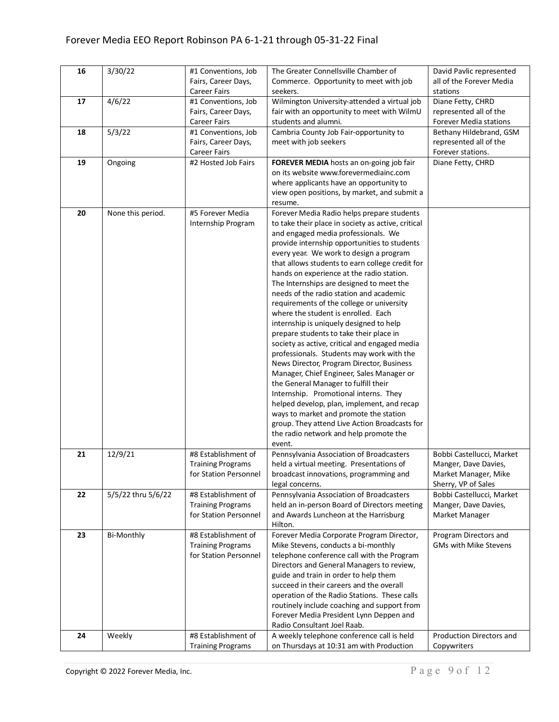| 16 | 3/30/22            | #1 Conventions, Job      | The Greater Connellsville Chamber of               | David Pavlic represented      |
|----|--------------------|--------------------------|----------------------------------------------------|-------------------------------|
|    |                    | Fairs, Career Days,      | Commerce. Opportunity to meet with job             | all of the Forever Media      |
|    |                    | <b>Career Fairs</b>      | seekers.                                           | stations                      |
| 17 | 4/6/22             | #1 Conventions, Job      | Wilmington University-attended a virtual job       | Diane Fetty, CHRD             |
|    |                    | Fairs, Career Days,      | fair with an opportunity to meet with WilmU        | represented all of the        |
|    |                    | <b>Career Fairs</b>      | students and alumni.                               | <b>Forever Media stations</b> |
| 18 | 5/3/22             | #1 Conventions, Job      | Cambria County Job Fair-opportunity to             | Bethany Hildebrand, GSM       |
|    |                    | Fairs, Career Days,      | meet with job seekers                              | represented all of the        |
|    |                    | <b>Career Fairs</b>      |                                                    | Forever stations.             |
| 19 | Ongoing            | #2 Hosted Job Fairs      | FOREVER MEDIA hosts an on-going job fair           | Diane Fetty, CHRD             |
|    |                    |                          | on its website www.forevermediainc.com             |                               |
|    |                    |                          | where applicants have an opportunity to            |                               |
|    |                    |                          | view open positions, by market, and submit a       |                               |
|    |                    |                          | resume.                                            |                               |
| 20 | None this period.  | #5 Forever Media         | Forever Media Radio helps prepare students         |                               |
|    |                    | Internship Program       | to take their place in society as active, critical |                               |
|    |                    |                          | and engaged media professionals. We                |                               |
|    |                    |                          | provide internship opportunities to students       |                               |
|    |                    |                          | every year. We work to design a program            |                               |
|    |                    |                          | that allows students to earn college credit for    |                               |
|    |                    |                          | hands on experience at the radio station.          |                               |
|    |                    |                          | The Internships are designed to meet the           |                               |
|    |                    |                          | needs of the radio station and academic            |                               |
|    |                    |                          | requirements of the college or university          |                               |
|    |                    |                          | where the student is enrolled. Each                |                               |
|    |                    |                          | internship is uniquely designed to help            |                               |
|    |                    |                          | prepare students to take their place in            |                               |
|    |                    |                          | society as active, critical and engaged media      |                               |
|    |                    |                          | professionals. Students may work with the          |                               |
|    |                    |                          | News Director, Program Director, Business          |                               |
|    |                    |                          | Manager, Chief Engineer, Sales Manager or          |                               |
|    |                    |                          | the General Manager to fulfill their               |                               |
|    |                    |                          | Internship. Promotional interns. They              |                               |
|    |                    |                          | helped develop, plan, implement, and recap         |                               |
|    |                    |                          | ways to market and promote the station             |                               |
|    |                    |                          | group. They attend Live Action Broadcasts for      |                               |
|    |                    |                          | the radio network and help promote the             |                               |
|    |                    |                          | event.                                             |                               |
| 21 | 12/9/21            | #8 Establishment of      | Pennsylvania Association of Broadcasters           | Bobbi Castellucci, Market     |
|    |                    | <b>Training Programs</b> | held a virtual meeting. Presentations of           | Manger, Dave Davies,          |
|    |                    | for Station Personnel    | broadcast innovations, programming and             | Market Manager, Mike          |
|    |                    |                          | legal concerns.                                    | Sherry, VP of Sales           |
| 22 | 5/5/22 thru 5/6/22 | #8 Establishment of      | Pennsylvania Association of Broadcasters           | Bobbi Castellucci, Market     |
|    |                    | <b>Training Programs</b> | held an in-person Board of Directors meeting       | Manger, Dave Davies,          |
|    |                    | for Station Personnel    | and Awards Luncheon at the Harrisburg              | Market Manager                |
|    |                    |                          | Hilton.                                            |                               |
| 23 | Bi-Monthly         | #8 Establishment of      | Forever Media Corporate Program Director,          | Program Directors and         |
|    |                    | <b>Training Programs</b> | Mike Stevens, conducts a bi-monthly                | <b>GMs with Mike Stevens</b>  |
|    |                    | for Station Personnel    | telephone conference call with the Program         |                               |
|    |                    |                          | Directors and General Managers to review,          |                               |
|    |                    |                          | guide and train in order to help them              |                               |
|    |                    |                          | succeed in their careers and the overall           |                               |
|    |                    |                          | operation of the Radio Stations. These calls       |                               |
|    |                    |                          | routinely include coaching and support from        |                               |
|    |                    |                          | Forever Media President Lynn Deppen and            |                               |
|    |                    |                          | Radio Consultant Joel Raab.                        |                               |
| 24 | Weekly             | #8 Establishment of      | A weekly telephone conference call is held         | Production Directors and      |
|    |                    | <b>Training Programs</b> | on Thursdays at 10:31 am with Production           | Copywriters                   |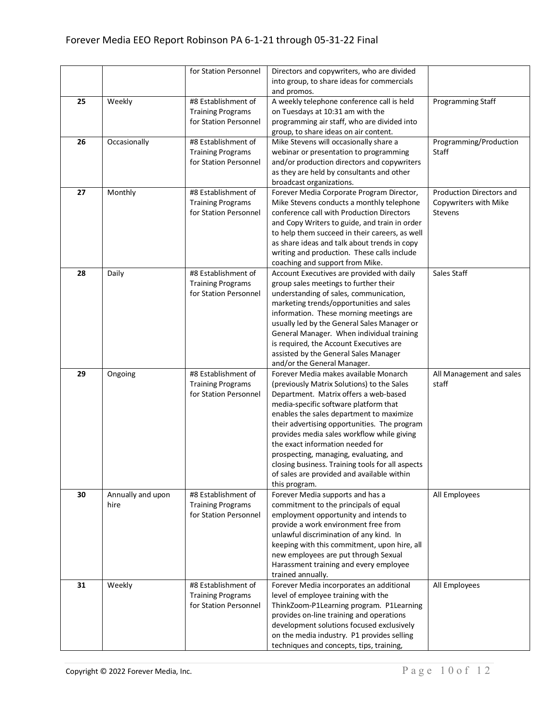|    |                   | for Station Personnel    | Directors and copywriters, who are divided                                                 |                          |
|----|-------------------|--------------------------|--------------------------------------------------------------------------------------------|--------------------------|
|    |                   |                          | into group, to share ideas for commercials                                                 |                          |
|    |                   |                          | and promos.                                                                                |                          |
| 25 | Weekly            | #8 Establishment of      | A weekly telephone conference call is held                                                 | Programming Staff        |
|    |                   | <b>Training Programs</b> | on Tuesdays at 10:31 am with the                                                           |                          |
|    |                   | for Station Personnel    | programming air staff, who are divided into                                                |                          |
|    |                   |                          | group, to share ideas on air content.                                                      |                          |
| 26 | Occasionally      | #8 Establishment of      | Mike Stevens will occasionally share a                                                     | Programming/Production   |
|    |                   | <b>Training Programs</b> | webinar or presentation to programming                                                     | Staff                    |
|    |                   | for Station Personnel    | and/or production directors and copywriters                                                |                          |
|    |                   |                          | as they are held by consultants and other                                                  |                          |
|    |                   |                          | broadcast organizations.                                                                   |                          |
| 27 | Monthly           | #8 Establishment of      | Forever Media Corporate Program Director,                                                  | Production Directors and |
|    |                   | <b>Training Programs</b> | Mike Stevens conducts a monthly telephone                                                  | Copywriters with Mike    |
|    |                   | for Station Personnel    | conference call with Production Directors                                                  | Stevens                  |
|    |                   |                          | and Copy Writers to guide, and train in order                                              |                          |
|    |                   |                          | to help them succeed in their careers, as well                                             |                          |
|    |                   |                          | as share ideas and talk about trends in copy                                               |                          |
|    |                   |                          | writing and production. These calls include                                                |                          |
|    |                   |                          | coaching and support from Mike.                                                            |                          |
| 28 | Daily             | #8 Establishment of      | Account Executives are provided with daily                                                 | Sales Staff              |
|    |                   | <b>Training Programs</b> | group sales meetings to further their                                                      |                          |
|    |                   | for Station Personnel    | understanding of sales, communication,                                                     |                          |
|    |                   |                          | marketing trends/opportunities and sales                                                   |                          |
|    |                   |                          | information. These morning meetings are                                                    |                          |
|    |                   |                          | usually led by the General Sales Manager or                                                |                          |
|    |                   |                          | General Manager. When individual training                                                  |                          |
|    |                   |                          | is required, the Account Executives are                                                    |                          |
|    |                   |                          | assisted by the General Sales Manager                                                      |                          |
|    |                   |                          | and/or the General Manager.                                                                |                          |
| 29 | Ongoing           | #8 Establishment of      | Forever Media makes available Monarch                                                      | All Management and sales |
|    |                   | <b>Training Programs</b> | (previously Matrix Solutions) to the Sales                                                 | staff                    |
|    |                   | for Station Personnel    | Department. Matrix offers a web-based                                                      |                          |
|    |                   |                          | media-specific software platform that                                                      |                          |
|    |                   |                          | enables the sales department to maximize                                                   |                          |
|    |                   |                          | their advertising opportunities. The program<br>provides media sales workflow while giving |                          |
|    |                   |                          | the exact information needed for                                                           |                          |
|    |                   |                          | prospecting, managing, evaluating, and                                                     |                          |
|    |                   |                          | closing business. Training tools for all aspects                                           |                          |
|    |                   |                          | of sales are provided and available within                                                 |                          |
|    |                   |                          | this program.                                                                              |                          |
| 30 | Annually and upon | #8 Establishment of      | Forever Media supports and has a                                                           | All Employees            |
|    | hire              | <b>Training Programs</b> | commitment to the principals of equal                                                      |                          |
|    |                   | for Station Personnel    | employment opportunity and intends to                                                      |                          |
|    |                   |                          | provide a work environment free from                                                       |                          |
|    |                   |                          | unlawful discrimination of any kind. In                                                    |                          |
|    |                   |                          | keeping with this commitment, upon hire, all                                               |                          |
|    |                   |                          | new employees are put through Sexual                                                       |                          |
|    |                   |                          | Harassment training and every employee                                                     |                          |
|    |                   |                          | trained annually.                                                                          |                          |
| 31 | Weekly            | #8 Establishment of      | Forever Media incorporates an additional                                                   | All Employees            |
|    |                   | <b>Training Programs</b> | level of employee training with the                                                        |                          |
|    |                   | for Station Personnel    | ThinkZoom-P1Learning program. P1Learning                                                   |                          |
|    |                   |                          | provides on-line training and operations                                                   |                          |
|    |                   |                          | development solutions focused exclusively                                                  |                          |
|    |                   |                          | on the media industry. P1 provides selling                                                 |                          |
|    |                   |                          | techniques and concepts, tips, training,                                                   |                          |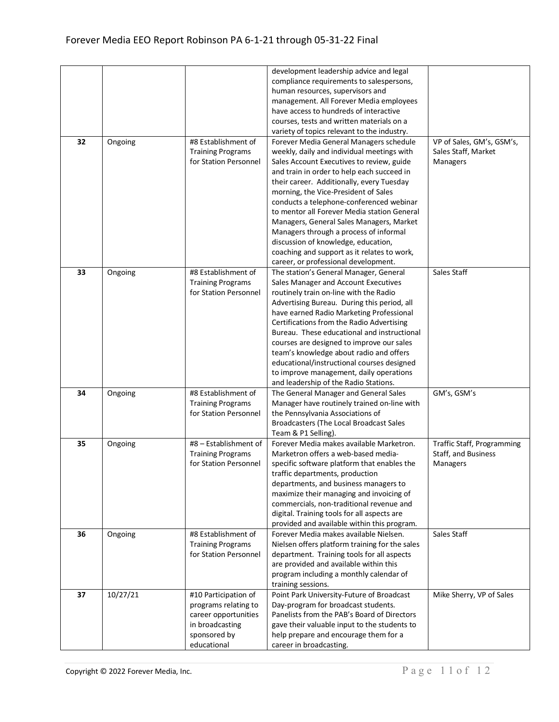|    |          |                          | development leadership advice and legal        |                                   |
|----|----------|--------------------------|------------------------------------------------|-----------------------------------|
|    |          |                          | compliance requirements to salespersons,       |                                   |
|    |          |                          | human resources, supervisors and               |                                   |
|    |          |                          | management. All Forever Media employees        |                                   |
|    |          |                          | have access to hundreds of interactive         |                                   |
|    |          |                          | courses, tests and written materials on a      |                                   |
|    |          |                          | variety of topics relevant to the industry.    |                                   |
| 32 | Ongoing  | #8 Establishment of      | Forever Media General Managers schedule        | VP of Sales, GM's, GSM's,         |
|    |          | <b>Training Programs</b> | weekly, daily and individual meetings with     | Sales Staff, Market               |
|    |          | for Station Personnel    | Sales Account Executives to review, guide      | Managers                          |
|    |          |                          | and train in order to help each succeed in     |                                   |
|    |          |                          | their career. Additionally, every Tuesday      |                                   |
|    |          |                          | morning, the Vice-President of Sales           |                                   |
|    |          |                          | conducts a telephone-conferenced webinar       |                                   |
|    |          |                          | to mentor all Forever Media station General    |                                   |
|    |          |                          |                                                |                                   |
|    |          |                          | Managers, General Sales Managers, Market       |                                   |
|    |          |                          | Managers through a process of informal         |                                   |
|    |          |                          | discussion of knowledge, education,            |                                   |
|    |          |                          | coaching and support as it relates to work,    |                                   |
|    |          |                          | career, or professional development.           |                                   |
| 33 | Ongoing  | #8 Establishment of      | The station's General Manager, General         | Sales Staff                       |
|    |          | <b>Training Programs</b> | Sales Manager and Account Executives           |                                   |
|    |          | for Station Personnel    | routinely train on-line with the Radio         |                                   |
|    |          |                          | Advertising Bureau. During this period, all    |                                   |
|    |          |                          | have earned Radio Marketing Professional       |                                   |
|    |          |                          | Certifications from the Radio Advertising      |                                   |
|    |          |                          | Bureau. These educational and instructional    |                                   |
|    |          |                          | courses are designed to improve our sales      |                                   |
|    |          |                          | team's knowledge about radio and offers        |                                   |
|    |          |                          | educational/instructional courses designed     |                                   |
|    |          |                          | to improve management, daily operations        |                                   |
|    |          |                          | and leadership of the Radio Stations.          |                                   |
| 34 | Ongoing  | #8 Establishment of      | The General Manager and General Sales          | GM's, GSM's                       |
|    |          | <b>Training Programs</b> | Manager have routinely trained on-line with    |                                   |
|    |          | for Station Personnel    | the Pennsylvania Associations of               |                                   |
|    |          |                          | Broadcasters (The Local Broadcast Sales        |                                   |
|    |          |                          | Team & P1 Selling).                            |                                   |
| 35 | Ongoing  | #8 - Establishment of    | Forever Media makes available Marketron.       | <b>Traffic Staff, Programming</b> |
|    |          | <b>Training Programs</b> | Marketron offers a web-based media-            | Staff, and Business               |
|    |          | for Station Personnel    | specific software platform that enables the    | Managers                          |
|    |          |                          | traffic departments, production                |                                   |
|    |          |                          | departments, and business managers to          |                                   |
|    |          |                          | maximize their managing and invoicing of       |                                   |
|    |          |                          | commercials, non-traditional revenue and       |                                   |
|    |          |                          | digital. Training tools for all aspects are    |                                   |
|    |          |                          | provided and available within this program.    |                                   |
| 36 | Ongoing  | #8 Establishment of      | Forever Media makes available Nielsen.         | Sales Staff                       |
|    |          | <b>Training Programs</b> | Nielsen offers platform training for the sales |                                   |
|    |          | for Station Personnel    | department. Training tools for all aspects     |                                   |
|    |          |                          | are provided and available within this         |                                   |
|    |          |                          | program including a monthly calendar of        |                                   |
|    |          |                          | training sessions.                             |                                   |
| 37 | 10/27/21 | #10 Participation of     | Point Park University-Future of Broadcast      | Mike Sherry, VP of Sales          |
|    |          | programs relating to     | Day-program for broadcast students.            |                                   |
|    |          | career opportunities     | Panelists from the PAB's Board of Directors    |                                   |
|    |          | in broadcasting          | gave their valuable input to the students to   |                                   |
|    |          | sponsored by             | help prepare and encourage them for a          |                                   |
|    |          | educational              | career in broadcasting.                        |                                   |